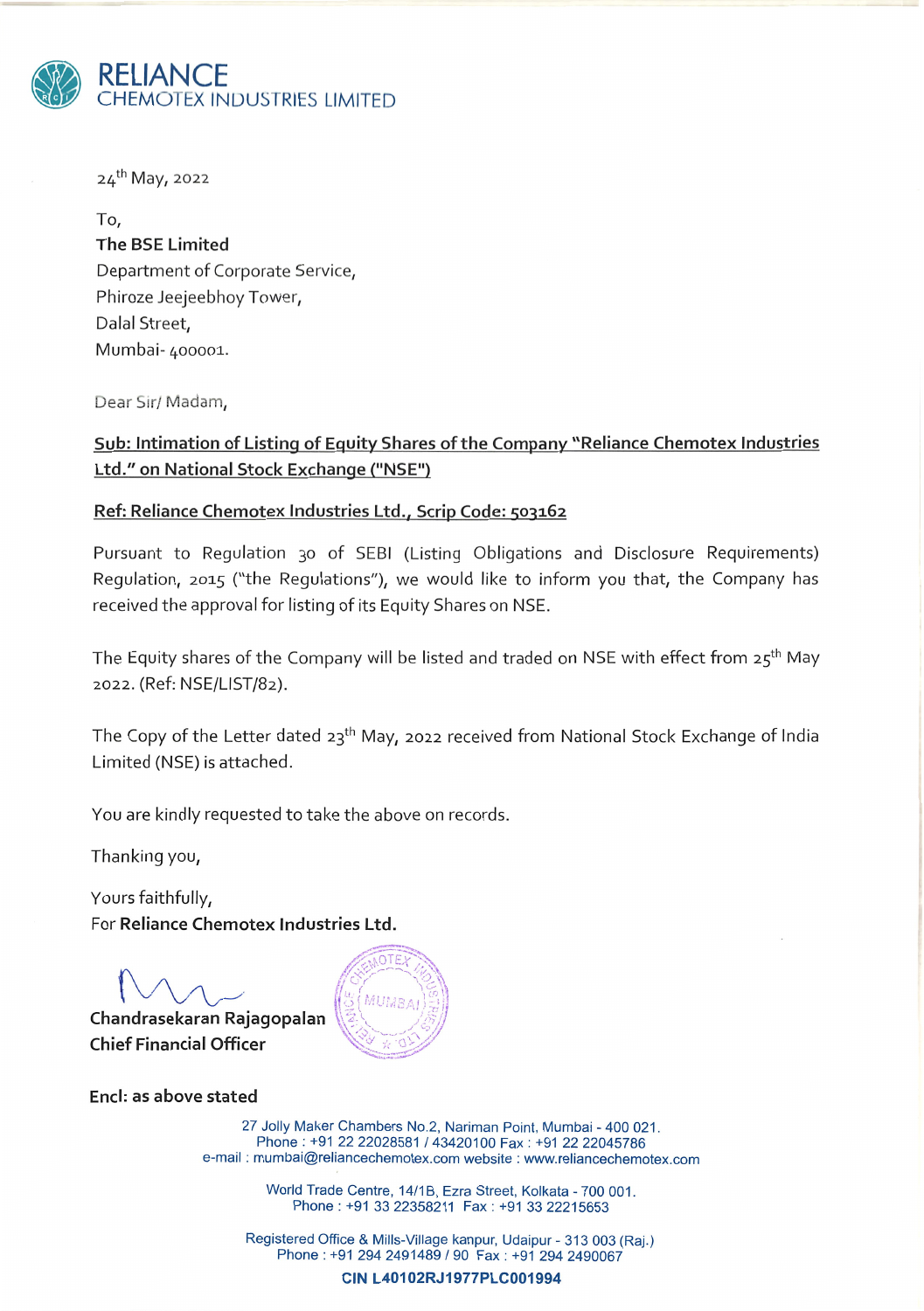

24th May, 2022

To, The BSE Limited Department of Corporate Service, Phiroze Jeejeebhoy Tower, Dalal Street, Mumbai- 400001..

Dear Sir/ Madam,

# Sub: Intimation of Listing of Equity Shares of the Company "Reliance Chemotex Industries Ltd." on National Stock Exchange ("NSE")

## Ref: Reliance Chemotex Industries Ltd., Scrip Code: 503162

Pursuant to Regulation 30 of SEBI (Listing Obligations and Disclosure Requirements) Regulation, 2015 ("the Regulations"), we would like to inform you that, the Company has received the approval for listing of its Equity Shares on NSE.

The Equity shares of the Company will be listed and traded on NSE with effect from 25<sup>th</sup> May 2022. (Ref: NSE/LIST/82).

The Copy of the Letter dated  $23<sup>th</sup>$  May, 2022 received from National Stock Exchange of India Limited (NSE) is attached.

You are kindly requested to take the above on records.

Thanking you,

Yours faithfully, For Reliance Chemotex Industries Ltd.

Chandrasekaran Rajagopalan **Chief Financial Officer** 



End: as above stated

27 Jolly Maker Chambers No.2, Nariman Point, Mumbai - 400 021. Phone: +91 22 22028581 / 43420100 Fax: +91 22 22045786 e-mail: mumbai@reliancechemotex.com website: www.reliancechemotex.com

> World Trade Centre, 14/1B, Ezra Street, Kolkata - 700 001. Phone: +91 33 22358211 Fax: +91 33 22215653

Registered Office & Mills-Village kanpur, Udaipur - 313 003 (Raj.) Phone: +91 294 2491489 / 90 Fax: +91 294 2490067

CIN L40102RJ1977PLC001994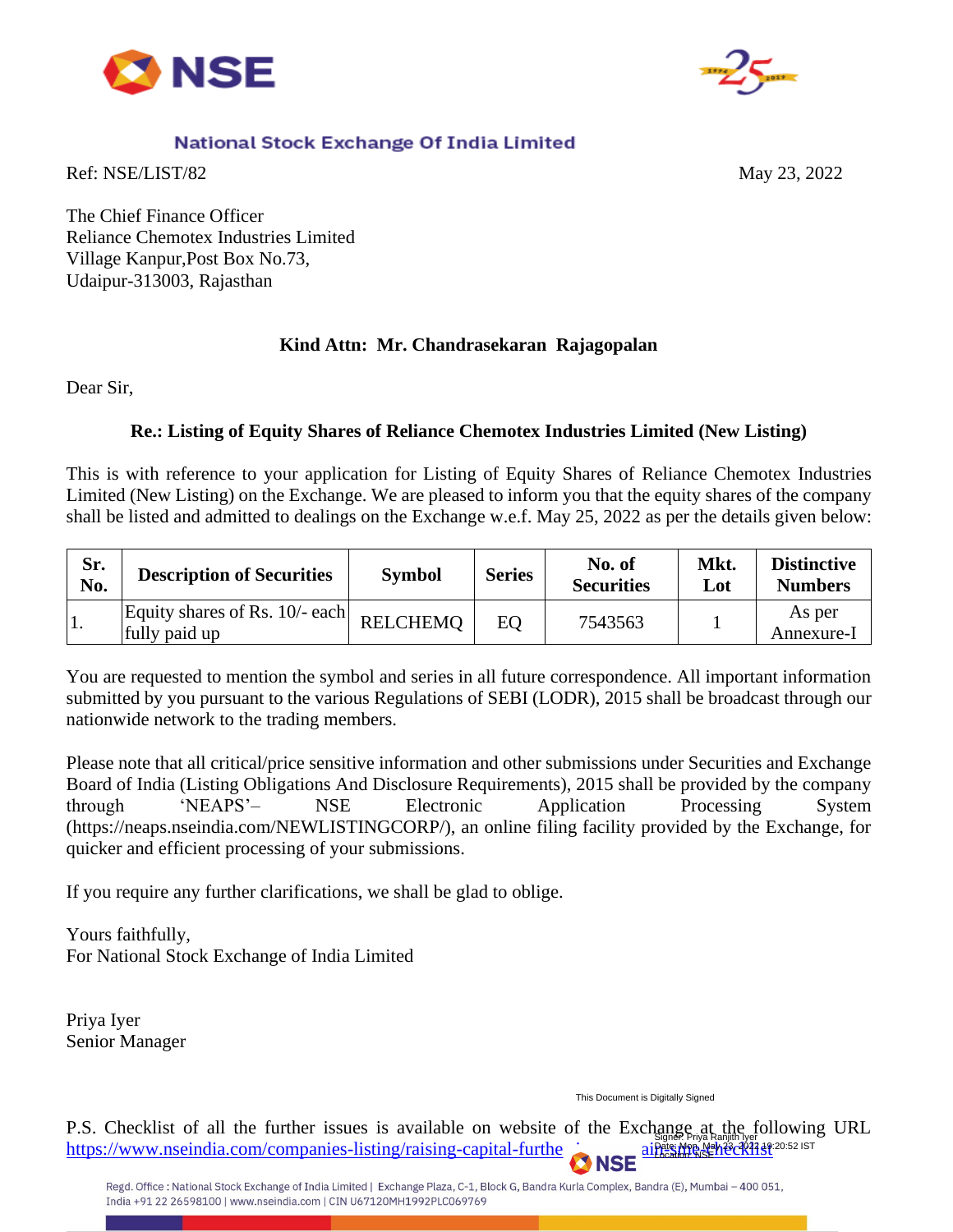



## National Stock Exchange Of India Limited

Ref: NSE/LIST/82 May 23, 2022

The Chief Finance Officer Reliance Chemotex Industries Limited Village Kanpur,Post Box No.73, Udaipur-313003, Rajasthan

### **Kind Attn: Mr. Chandrasekaran Rajagopalan**

Dear Sir,

## **Re.: Listing of Equity Shares of Reliance Chemotex Industries Limited (New Listing)**

This is with reference to your application for Listing of Equity Shares of Reliance Chemotex Industries Limited (New Listing) on the Exchange. We are pleased to inform you that the equity shares of the company shall be listed and admitted to dealings on the Exchange w.e.f. May 25, 2022 as per the details given below:

| Sr.<br>No. | <b>Description of Securities</b>                | <b>Symbol</b>   | <b>Series</b> | No. of<br><b>Securities</b> | Mkt<br>Lot | <b>Distinctive</b><br><b>Numbers</b> |
|------------|-------------------------------------------------|-----------------|---------------|-----------------------------|------------|--------------------------------------|
| Ι.         | Equity shares of Rs. 10/- each<br>fully paid up | <b>RELCHEMO</b> | <b>EO</b>     | 7543563                     |            | As per<br>Annexure-I                 |

You are requested to mention the symbol and series in all future correspondence. All important information submitted by you pursuant to the various Regulations of SEBI (LODR), 2015 shall be broadcast through our nationwide network to the trading members.

Please note that all critical/price sensitive information and other submissions under Securities and Exchange Board of India (Listing Obligations And Disclosure Requirements), 2015 shall be provided by the company through 'NEAPS'– NSE Electronic Application Processing System (https://neaps.nseindia.com/NEWLISTINGCORP/), an online filing facility provided by the Exchange, for quicker and efficient processing of your submissions.

If you require any further clarifications, we shall be glad to oblige.

Yours faithfully, For National Stock Exchange of India Limited

Priya Iyer Senior Manager

This Document is Digitally Signed

P.S. Checklist of all the further issues is available on website of the Exchange at the following URL https://www.nseindia.com/companies-listing/raising-capital-furtheraistic Signer: Priya Ranjith Iyer<br>Pate: Mon, Ma<mark>y 23, 2022 19:</mark>20:52 IST<br>Location: NSE<sup>Y 23</sup>C 2022 12: